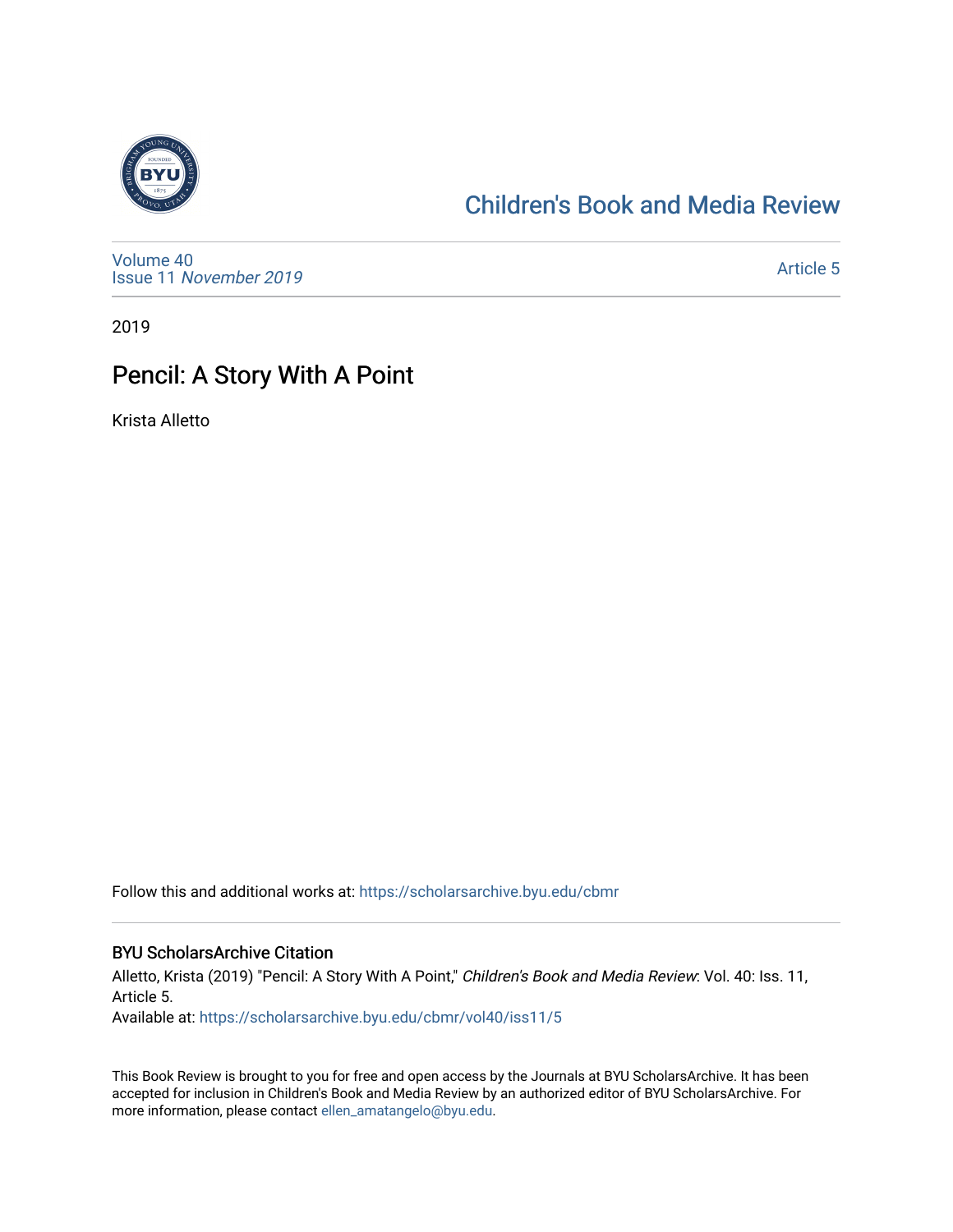

# [Children's Book and Media Review](https://scholarsarchive.byu.edu/cbmr)

[Volume 40](https://scholarsarchive.byu.edu/cbmr/vol40) Issue 11 [November 2019](https://scholarsarchive.byu.edu/cbmr/vol40/iss11) 

[Article 5](https://scholarsarchive.byu.edu/cbmr/vol40/iss11/5) 

2019

# Pencil: A Story With A Point

Krista Alletto

Follow this and additional works at: [https://scholarsarchive.byu.edu/cbmr](https://scholarsarchive.byu.edu/cbmr?utm_source=scholarsarchive.byu.edu%2Fcbmr%2Fvol40%2Fiss11%2F5&utm_medium=PDF&utm_campaign=PDFCoverPages) 

#### BYU ScholarsArchive Citation

Alletto, Krista (2019) "Pencil: A Story With A Point," Children's Book and Media Review: Vol. 40: Iss. 11, Article 5.

Available at: [https://scholarsarchive.byu.edu/cbmr/vol40/iss11/5](https://scholarsarchive.byu.edu/cbmr/vol40/iss11/5?utm_source=scholarsarchive.byu.edu%2Fcbmr%2Fvol40%2Fiss11%2F5&utm_medium=PDF&utm_campaign=PDFCoverPages)

This Book Review is brought to you for free and open access by the Journals at BYU ScholarsArchive. It has been accepted for inclusion in Children's Book and Media Review by an authorized editor of BYU ScholarsArchive. For more information, please contact [ellen\\_amatangelo@byu.edu.](mailto:ellen_amatangelo@byu.edu)